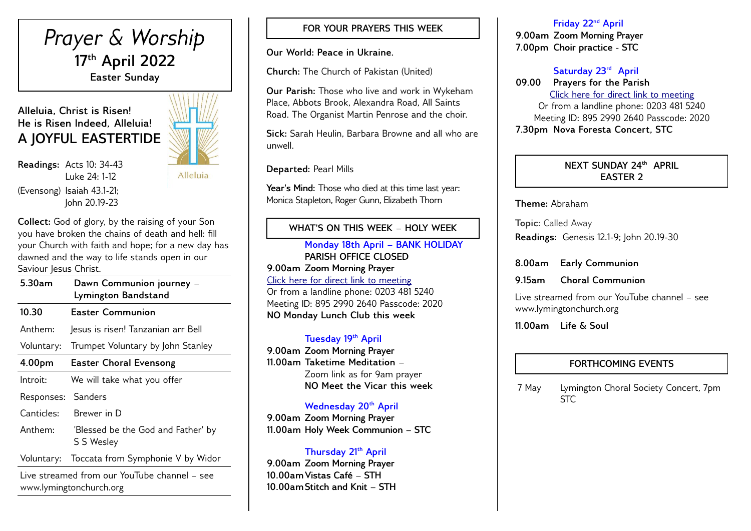# *Prayer & Worship* **17th April 2022 Easter Sunday**

## **Alleluia, Christ is Risen! He is Risen Indeed, Alleluia! A JOYFUL EASTERTIDE**

**Readings:** Acts 10: 34-43 Luke 24: 1-12 (Evensong) Isaiah 43.1-21; John 20.19-23

Alleluia

**Collect:** God of glory, by the raising of your Son you have broken the chains of death and hell: fill your Church with faith and hope; for a new day has dawned and the way to life stands open in our Saviour Jesus Christ.  $\overline{\phantom{0}}$ 

| 5.30am             | Dawn Communion journey -<br>Lymington Bandstand  |
|--------------------|--------------------------------------------------|
| 10.30              | <b>Easter Communion</b>                          |
| Anthem:            | Jesus is risen! Tanzanian arr Bell               |
| Voluntary:         | Trumpet Voluntary by John Stanley                |
| 4.00 <sub>pm</sub> | <b>Easter Choral Evensong</b>                    |
| Introit:           | We will take what you offer                      |
| Responses:         | Sanders                                          |
| Canticles:         | Brewer in D                                      |
| Anthem:            | 'Blessed be the God and Father' by<br>S S Wesley |
| Voluntary:         | Toccata from Symphonie V by Widor                |

Live streamed from our YouTube channel – see www.lymingtonchurch.org

## **FOR YOUR PRAYERS THIS WEEK**

**Our World: Peace in Ukraine.**

**Church:** The Church of Pakistan (United)

**Our Parish:** Those who live and work in Wykeham Place, Abbots Brook, Alexandra Road, All Saints Road. The Organist Martin Penrose and the choir.

**Sick:** Sarah Heulin, Barbara Browne and all who are unwell.

**Departed:** Pearl Mills

**Year's Mind:** Those who died at this time last year: Monica Stapleton, Roger Gunn, Elizabeth Thorn

## **WHAT'S ON THIS WEEK – HOLY WEEK**

**Monday 18th April – BANK HOLIDAY PARISH OFFICE CLOSED 9.00am Zoom Morning Prayer** [Click here for direct link to meeting](https://us02web.zoom.us/j/89529902640?pwd=QVQxTGxjODdwV3ROT1gxM2NWUjN0dz09) Or from a landline phone: 0203 481 5240 Meeting ID: 895 2990 2640 Passcode: 2020 **NO Monday Lunch Club this week**

#### **Tuesday 19th April**

**9.00am Zoom Morning Prayer 11.00am Taketime Meditation –**  Zoom link as for 9am prayer **NO Meet the Vicar this week**

#### **Wednesday 20th April**

**9.00am Zoom Morning Prayer 11.00am Holy Week Communion – STC** 

#### **Thursday 21th April**

**9.00am Zoom Morning Prayer 10.00amVistas Café – STH 10.00amStitch and Knit – STH** 

#### **Friday 22nd April**

**9.00am Zoom Morning Prayer 7.00pm Choir practice - STC**

## **Saturday 23rd April**

**09.00 Prayers for the Parish** [Click here for direct link to meeting](https://us02web.zoom.us/j/89529902640?pwd=QVQxTGxjODdwV3ROT1gxM2NWUjN0dz09) Or from a landline phone: 0203 481 5240 Meeting ID: 895 2990 2640 Passcode: 2020 **7.30pm Nova Foresta Concert, STC**

## **NEXT SUNDAY 24th APRIL EASTER 2**

**Theme:** Abraham

**Topic:** Called Away

**Readings:** Genesis 12.1-9; John 20.19-30

**8.00am Early Communion**

**9.15am Choral Communion** 

Live streamed from our YouTube channel – see www.lymingtonchurch.org

**11.00am Life & Soul** 

## **FORTHCOMING EVENTS**

7 May Lymington Choral Society Concert, 7pm STC